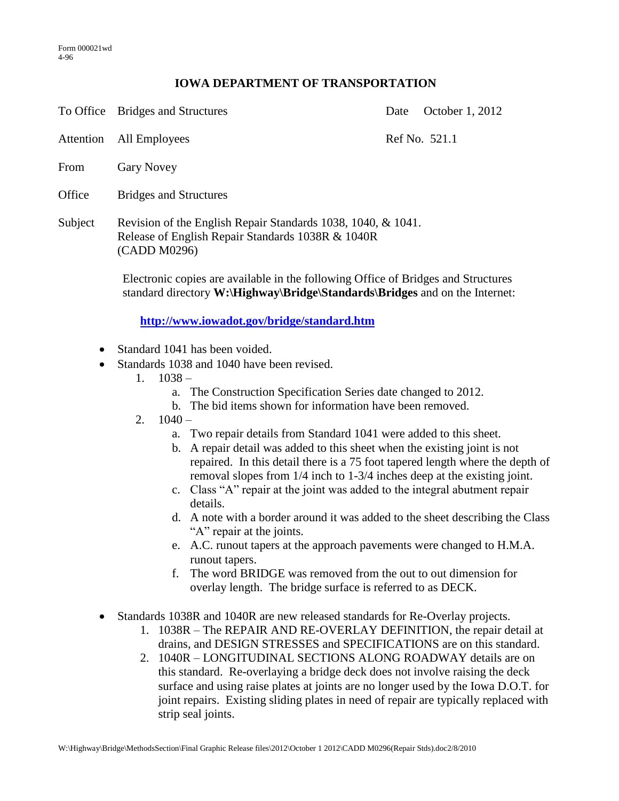## **IOWA DEPARTMENT OF TRANSPORTATION**

To Office Bridges and Structures Date October 1, 2012

Attention All Employees Ref No. 521.1

- From Gary Novey
- Office Bridges and Structures
- Subject Revision of the English Repair Standards 1038, 1040, & 1041. Release of English Repair Standards 1038R & 1040R (CADD M0296)

Electronic copies are available in the following Office of Bridges and Structures standard directory **W:\Highway\Bridge\Standards\Bridges** and on the Internet:

**<http://www.iowadot.gov/bridge/standard.htm>**

- Standard 1041 has been voided.
- Standards 1038 and 1040 have been revised.
	- 1.  $1038$ 
		- a. The Construction Specification Series date changed to 2012.
		- b. The bid items shown for information have been removed.
	- 2.  $1040$ 
		- a. Two repair details from Standard 1041 were added to this sheet.
		- b. A repair detail was added to this sheet when the existing joint is not repaired. In this detail there is a 75 foot tapered length where the depth of removal slopes from 1/4 inch to 1-3/4 inches deep at the existing joint.
		- c. Class "A" repair at the joint was added to the integral abutment repair details.
		- d. A note with a border around it was added to the sheet describing the Class "A" repair at the joints.
		- e. A.C. runout tapers at the approach pavements were changed to H.M.A. runout tapers.
		- f. The word BRIDGE was removed from the out to out dimension for overlay length. The bridge surface is referred to as DECK.
- Standards 1038R and 1040R are new released standards for Re-Overlay projects.
	- 1. 1038R The REPAIR AND RE-OVERLAY DEFINITION, the repair detail at drains, and DESIGN STRESSES and SPECIFICATIONS are on this standard.
	- 2. 1040R LONGITUDINAL SECTIONS ALONG ROADWAY details are on this standard. Re-overlaying a bridge deck does not involve raising the deck surface and using raise plates at joints are no longer used by the Iowa D.O.T. for joint repairs. Existing sliding plates in need of repair are typically replaced with strip seal joints.